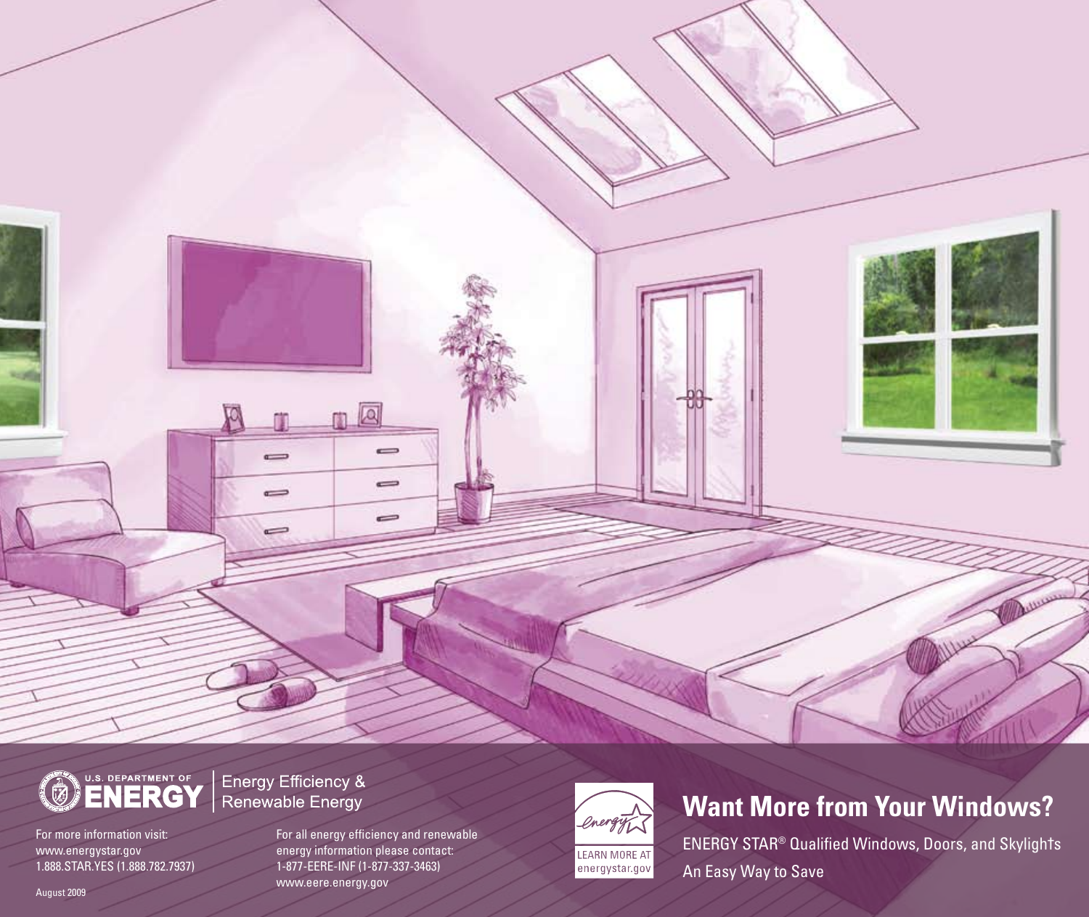

For more information visit: www.energystar.gov 1.888.STAR.YES (1.888.782.7937) Energy Efficiency & Renewable Energy

 $\sim$ 

 $\equiv$ 

 $\Rightarrow$ 

For all energy efficiency and renewable energy information please contact: 1-877-EERE-INF (1-877-337-3463) www.eere.energy.gov

Q

 $\equiv$ 

-

0



## **Want More from Your Windows?**

Attraction

ENERGY STAR ® Qualified Windows, Doors, and Skyligh†s An Easy Way to Save

August 2009